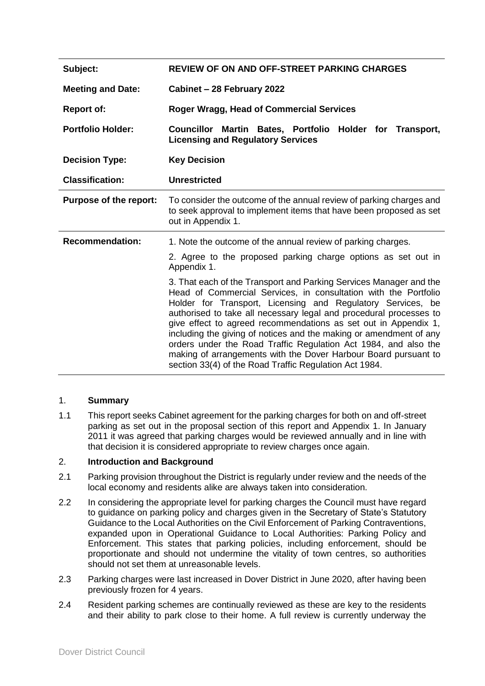| Subject:                      | <b>REVIEW OF ON AND OFF-STREET PARKING CHARGES</b>                                                                                                                                                                                                                                                                                                                                                                                                                                                                                                                                                                  |
|-------------------------------|---------------------------------------------------------------------------------------------------------------------------------------------------------------------------------------------------------------------------------------------------------------------------------------------------------------------------------------------------------------------------------------------------------------------------------------------------------------------------------------------------------------------------------------------------------------------------------------------------------------------|
| <b>Meeting and Date:</b>      | Cabinet - 28 February 2022                                                                                                                                                                                                                                                                                                                                                                                                                                                                                                                                                                                          |
| <b>Report of:</b>             | <b>Roger Wragg, Head of Commercial Services</b>                                                                                                                                                                                                                                                                                                                                                                                                                                                                                                                                                                     |
| <b>Portfolio Holder:</b>      | Councillor Martin Bates, Portfolio Holder for Transport,<br><b>Licensing and Regulatory Services</b>                                                                                                                                                                                                                                                                                                                                                                                                                                                                                                                |
| <b>Decision Type:</b>         | <b>Key Decision</b>                                                                                                                                                                                                                                                                                                                                                                                                                                                                                                                                                                                                 |
| <b>Classification:</b>        | <b>Unrestricted</b>                                                                                                                                                                                                                                                                                                                                                                                                                                                                                                                                                                                                 |
| <b>Purpose of the report:</b> | To consider the outcome of the annual review of parking charges and<br>to seek approval to implement items that have been proposed as set<br>out in Appendix 1.                                                                                                                                                                                                                                                                                                                                                                                                                                                     |
| <b>Recommendation:</b>        | 1. Note the outcome of the annual review of parking charges.                                                                                                                                                                                                                                                                                                                                                                                                                                                                                                                                                        |
|                               | 2. Agree to the proposed parking charge options as set out in<br>Appendix 1.                                                                                                                                                                                                                                                                                                                                                                                                                                                                                                                                        |
|                               | 3. That each of the Transport and Parking Services Manager and the<br>Head of Commercial Services, in consultation with the Portfolio<br>Holder for Transport, Licensing and Regulatory Services, be<br>authorised to take all necessary legal and procedural processes to<br>give effect to agreed recommendations as set out in Appendix 1,<br>including the giving of notices and the making or amendment of any<br>orders under the Road Traffic Regulation Act 1984, and also the<br>making of arrangements with the Dover Harbour Board pursuant to<br>section 33(4) of the Road Traffic Regulation Act 1984. |

### 1. **Summary**

1.1 This report seeks Cabinet agreement for the parking charges for both on and off-street parking as set out in the proposal section of this report and Appendix 1. In January 2011 it was agreed that parking charges would be reviewed annually and in line with that decision it is considered appropriate to review charges once again.

## 2. **Introduction and Background**

- 2.1 Parking provision throughout the District is regularly under review and the needs of the local economy and residents alike are always taken into consideration.
- 2.2 In considering the appropriate level for parking charges the Council must have regard to guidance on parking policy and charges given in the Secretary of State's Statutory Guidance to the Local Authorities on the Civil Enforcement of Parking Contraventions, expanded upon in Operational Guidance to Local Authorities: Parking Policy and Enforcement. This states that parking policies, including enforcement, should be proportionate and should not undermine the vitality of town centres, so authorities should not set them at unreasonable levels.
- 2.3 Parking charges were last increased in Dover District in June 2020, after having been previously frozen for 4 years.
- 2.4 Resident parking schemes are continually reviewed as these are key to the residents and their ability to park close to their home. A full review is currently underway the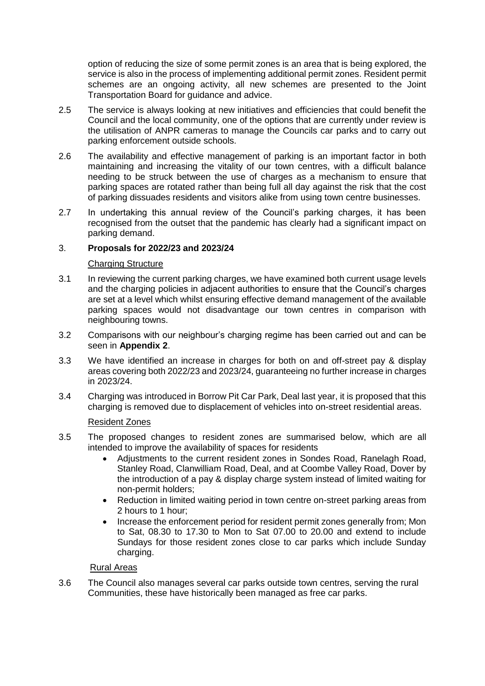option of reducing the size of some permit zones is an area that is being explored, the service is also in the process of implementing additional permit zones. Resident permit schemes are an ongoing activity, all new schemes are presented to the Joint Transportation Board for guidance and advice.

- 2.5 The service is always looking at new initiatives and efficiencies that could benefit the Council and the local community, one of the options that are currently under review is the utilisation of ANPR cameras to manage the Councils car parks and to carry out parking enforcement outside schools.
- 2.6 The availability and effective management of parking is an important factor in both maintaining and increasing the vitality of our town centres, with a difficult balance needing to be struck between the use of charges as a mechanism to ensure that parking spaces are rotated rather than being full all day against the risk that the cost of parking dissuades residents and visitors alike from using town centre businesses.
- 2.7 In undertaking this annual review of the Council's parking charges, it has been recognised from the outset that the pandemic has clearly had a significant impact on parking demand.

## 3. **Proposals for 2022/23 and 2023/24**

### Charging Structure

- 3.1 In reviewing the current parking charges, we have examined both current usage levels and the charging policies in adjacent authorities to ensure that the Council's charges are set at a level which whilst ensuring effective demand management of the available parking spaces would not disadvantage our town centres in comparison with neighbouring towns.
- 3.2 Comparisons with our neighbour's charging regime has been carried out and can be seen in **Appendix 2**.
- 3.3 We have identified an increase in charges for both on and off-street pay & display areas covering both 2022/23 and 2023/24, guaranteeing no further increase in charges in 2023/24.
- 3.4 Charging was introduced in Borrow Pit Car Park, Deal last year, it is proposed that this charging is removed due to displacement of vehicles into on-street residential areas.

### Resident Zones

- 3.5 The proposed changes to resident zones are summarised below, which are all intended to improve the availability of spaces for residents
	- Adjustments to the current resident zones in Sondes Road, Ranelagh Road, Stanley Road, Clanwilliam Road, Deal, and at Coombe Valley Road, Dover by the introduction of a pay & display charge system instead of limited waiting for non-permit holders;
	- Reduction in limited waiting period in town centre on-street parking areas from 2 hours to 1 hour;
	- Increase the enforcement period for resident permit zones generally from; Mon to Sat, 08.30 to 17.30 to Mon to Sat 07.00 to 20.00 and extend to include Sundays for those resident zones close to car parks which include Sunday charging.

# Rural Areas

3.6 The Council also manages several car parks outside town centres, serving the rural Communities, these have historically been managed as free car parks.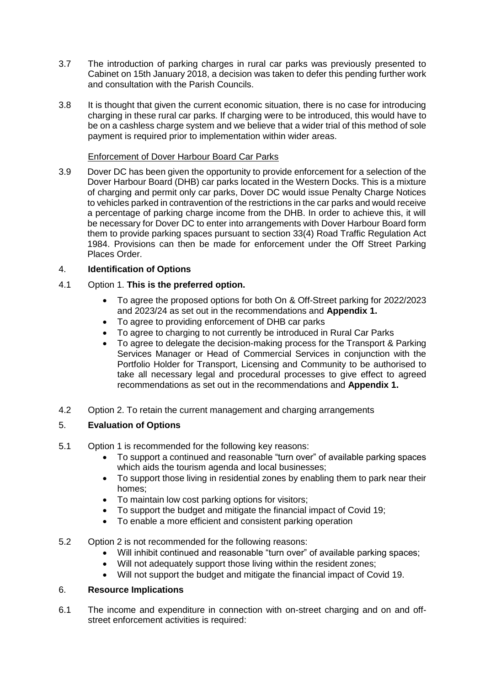- 3.7 The introduction of parking charges in rural car parks was previously presented to Cabinet on 15th January 2018, a decision was taken to defer this pending further work and consultation with the Parish Councils.
- 3.8 It is thought that given the current economic situation, there is no case for introducing charging in these rural car parks. If charging were to be introduced, this would have to be on a cashless charge system and we believe that a wider trial of this method of sole payment is required prior to implementation within wider areas.

## Enforcement of Dover Harbour Board Car Parks

3.9 Dover DC has been given the opportunity to provide enforcement for a selection of the Dover Harbour Board (DHB) car parks located in the Western Docks. This is a mixture of charging and permit only car parks, Dover DC would issue Penalty Charge Notices to vehicles parked in contravention of the restrictions in the car parks and would receive a percentage of parking charge income from the DHB. In order to achieve this, it will be necessary for Dover DC to enter into arrangements with Dover Harbour Board form them to provide parking spaces pursuant to section 33(4) Road Traffic Regulation Act 1984. Provisions can then be made for enforcement under the Off Street Parking Places Order.

## 4. **Identification of Options**

- 4.1 Option 1. **This is the preferred option.**
	- To agree the proposed options for both On & Off-Street parking for 2022/2023 and 2023/24 as set out in the recommendations and **Appendix 1.**
	- To agree to providing enforcement of DHB car parks
	- To agree to charging to not currently be introduced in Rural Car Parks
	- To agree to delegate the decision-making process for the Transport & Parking Services Manager or Head of Commercial Services in conjunction with the Portfolio Holder for Transport, Licensing and Community to be authorised to take all necessary legal and procedural processes to give effect to agreed recommendations as set out in the recommendations and **Appendix 1.**
- 4.2 Option 2. To retain the current management and charging arrangements

# 5. **Evaluation of Options**

- 5.1 Option 1 is recommended for the following key reasons:
	- To support a continued and reasonable "turn over" of available parking spaces which aids the tourism agenda and local businesses;
	- To support those living in residential zones by enabling them to park near their homes;
	- To maintain low cost parking options for visitors;
	- To support the budget and mitigate the financial impact of Covid 19;
	- To enable a more efficient and consistent parking operation
- 5.2 Option 2 is not recommended for the following reasons:
	- Will inhibit continued and reasonable "turn over" of available parking spaces;
	- Will not adequately support those living within the resident zones;
	- Will not support the budget and mitigate the financial impact of Covid 19.

### 6. **Resource Implications**

6.1 The income and expenditure in connection with on-street charging and on and offstreet enforcement activities is required: